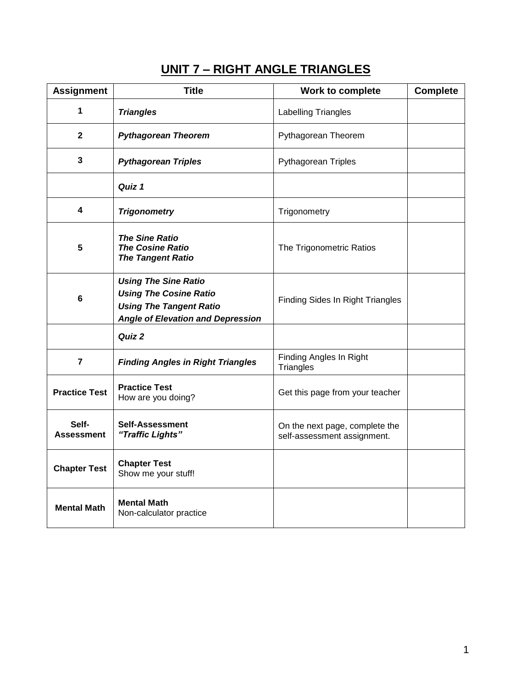# **UNIT 7 – RIGHT ANGLE TRIANGLES**

| <b>Assignment</b>          | <b>Title</b>                                                                                                                               | Work to complete                                              | <b>Complete</b> |
|----------------------------|--------------------------------------------------------------------------------------------------------------------------------------------|---------------------------------------------------------------|-----------------|
| 1                          | <b>Triangles</b>                                                                                                                           | Labelling Triangles                                           |                 |
| $\mathbf{2}$               | <b>Pythagorean Theorem</b>                                                                                                                 | Pythagorean Theorem                                           |                 |
| 3                          | <b>Pythagorean Triples</b>                                                                                                                 | <b>Pythagorean Triples</b>                                    |                 |
|                            | Quiz 1                                                                                                                                     |                                                               |                 |
| 4                          | <b>Trigonometry</b>                                                                                                                        | Trigonometry                                                  |                 |
| 5                          | <b>The Sine Ratio</b><br><b>The Cosine Ratio</b><br><b>The Tangent Ratio</b>                                                               | The Trigonometric Ratios                                      |                 |
| 6                          | <b>Using The Sine Ratio</b><br><b>Using The Cosine Ratio</b><br><b>Using The Tangent Ratio</b><br><b>Angle of Elevation and Depression</b> | <b>Finding Sides In Right Triangles</b>                       |                 |
|                            | Quiz 2                                                                                                                                     |                                                               |                 |
| $\overline{7}$             | <b>Finding Angles in Right Triangles</b>                                                                                                   | Finding Angles In Right<br>Triangles                          |                 |
| <b>Practice Test</b>       | <b>Practice Test</b><br>How are you doing?                                                                                                 | Get this page from your teacher                               |                 |
| Self-<br><b>Assessment</b> | <b>Self-Assessment</b><br>"Traffic Lights"                                                                                                 | On the next page, complete the<br>self-assessment assignment. |                 |
| <b>Chapter Test</b>        | <b>Chapter Test</b><br>Show me your stuff!                                                                                                 |                                                               |                 |
| <b>Mental Math</b>         | <b>Mental Math</b><br>Non-calculator practice                                                                                              |                                                               |                 |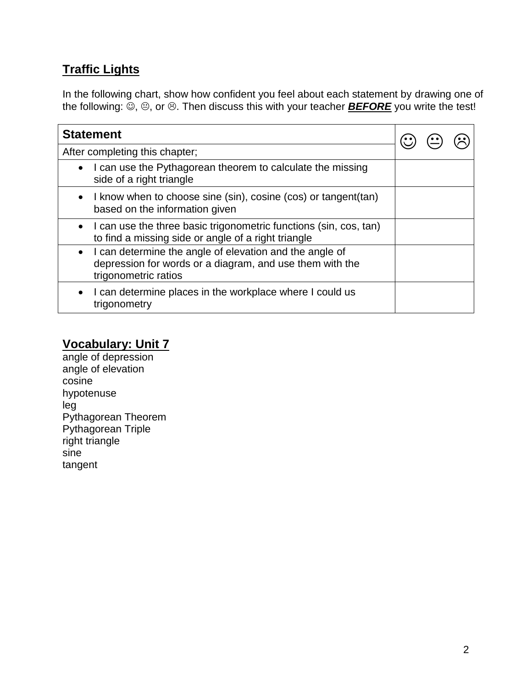## **Traffic Lights**

In the following chart, show how confident you feel about each statement by drawing one of the following:  $\ddot{\odot}$ ,  $\odot$ , or  $\odot$ . Then discuss this with your teacher **BEFORE** you write the test!

| <b>Statement</b>                                                                                                                            |  |  |
|---------------------------------------------------------------------------------------------------------------------------------------------|--|--|
| After completing this chapter;                                                                                                              |  |  |
| I can use the Pythagorean theorem to calculate the missing<br>side of a right triangle                                                      |  |  |
| I know when to choose sine (sin), cosine (cos) or tangent (tan)<br>based on the information given                                           |  |  |
| I can use the three basic trigonometric functions (sin, cos, tan)<br>to find a missing side or angle of a right triangle                    |  |  |
| I can determine the angle of elevation and the angle of<br>depression for words or a diagram, and use them with the<br>trigonometric ratios |  |  |
| I can determine places in the workplace where I could us<br>trigonometry                                                                    |  |  |

### **Vocabulary: Unit 7**

angle of depression angle of elevation cosine hypotenuse leg Pythagorean Theorem Pythagorean Triple right triangle sine tangent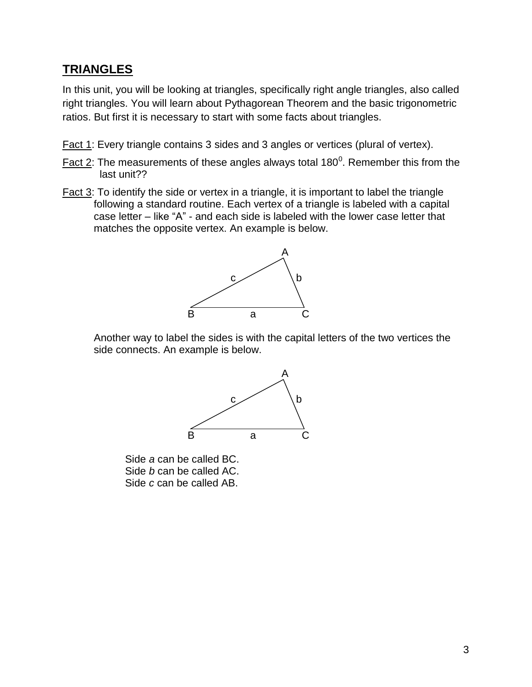### **TRIANGLES**

In this unit, you will be looking at triangles, specifically right angle triangles, also called right triangles. You will learn about Pythagorean Theorem and the basic trigonometric ratios. But first it is necessary to start with some facts about triangles.

- Fact 1: Every triangle contains 3 sides and 3 angles or vertices (plural of vertex).
- Fact 2: The measurements of these angles always total 180<sup>0</sup>. Remember this from the last unit??
- Fact 3: To identify the side or vertex in a triangle, it is important to label the triangle following a standard routine. Each vertex of a triangle is labeled with a capital case letter – like "A" - and each side is labeled with the lower case letter that matches the opposite vertex. An example is below.



Another way to label the sides is with the capital letters of the two vertices the side connects. An example is below.



Side *a* can be called BC. Side *b* can be called AC. Side *c* can be called AB.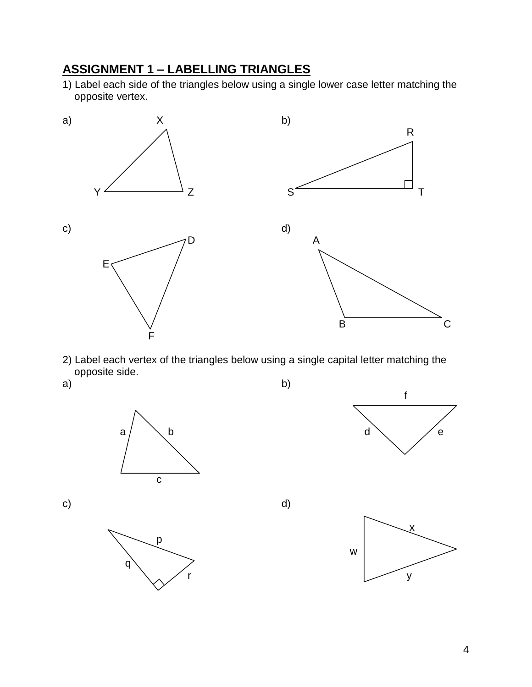## **ASSIGNMENT 1 – LABELLING TRIANGLES**

1) Label each side of the triangles below using a single lower case letter matching the opposite vertex.



2) Label each vertex of the triangles below using a single capital letter matching the opposite side.









c) and  $\alpha$  d)

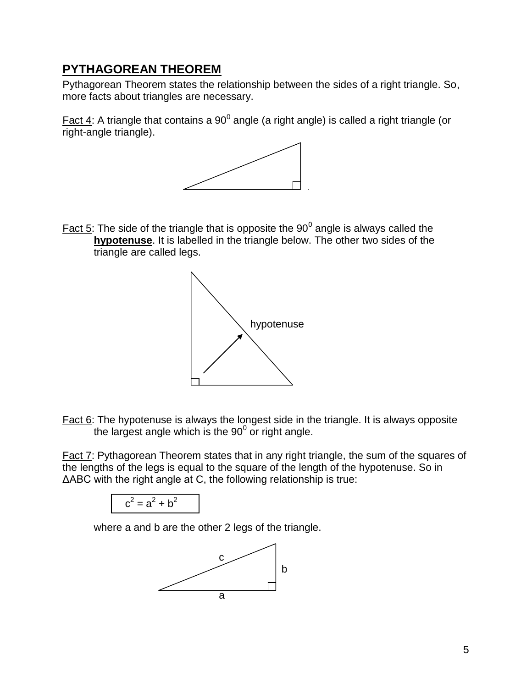### **PYTHAGOREAN THEOREM**

Pythagorean Theorem states the relationship between the sides of a right triangle. So, more facts about triangles are necessary.

Fact 4: A triangle that contains a 90<sup>0</sup> angle (a right angle) is called a right triangle (or right-angle triangle).



Fact  $5$ : The side of the triangle that is opposite the  $90^0$  angle is always called the **hypotenuse**. It is labelled in the triangle below. The other two sides of the triangle are called legs.



Fact 6: The hypotenuse is always the longest side in the triangle. It is always opposite the largest angle which is the  $90^0$  or right angle.

Fact 7: Pythagorean Theorem states that in any right triangle, the sum of the squares of the lengths of the legs is equal to the square of the length of the hypotenuse. So in ΔABC with the right angle at C, the following relationship is true:

$$
c^2 = a^2 + b^2
$$

where a and b are the other 2 legs of the triangle.

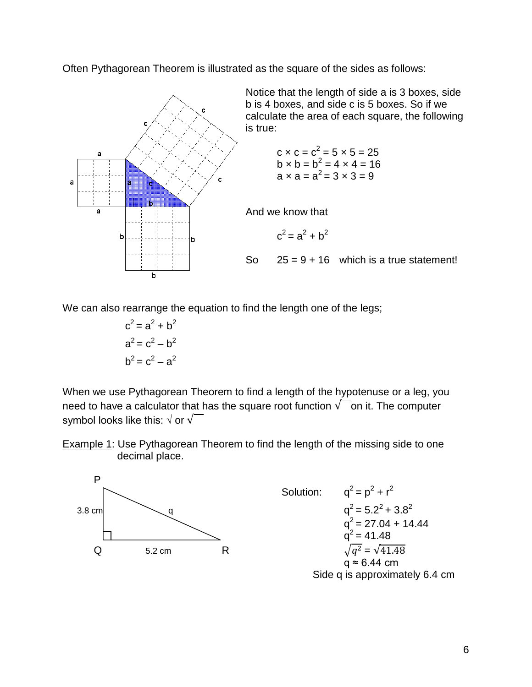Often Pythagorean Theorem is illustrated as the square of the sides as follows:



Notice that the length of side a is 3 boxes, side b is 4 boxes, and side c is 5 boxes. So if we calculate the area of each square, the following is true:

$$
c \times c = c2 = 5 \times 5 = 25
$$
  
b \times b = b<sup>2</sup> = 4 x 4 = 16  
a \times a = a<sup>2</sup> = 3 x 3 = 9

And we know that

$$
c^2 = a^2 + b^2
$$

So  $25 = 9 + 16$  which is a true statement!

We can also rearrange the equation to find the length one of the legs;

$$
c2 = a2 + b2
$$

$$
a2 = c2 - b2
$$

$$
b2 = c2 - a2
$$

When we use Pythagorean Theorem to find a length of the hypotenuse or a leg, you need to have a calculator that has the square root function  $\sqrt{\phantom{a}}$  on it. The computer symbol looks like this:  $\sqrt{$  or  $\sqrt{ }$ 

Example 1: Use Pythagorean Theorem to find the length of the missing side to one decimal place.



Side q is approximately 6.4 cm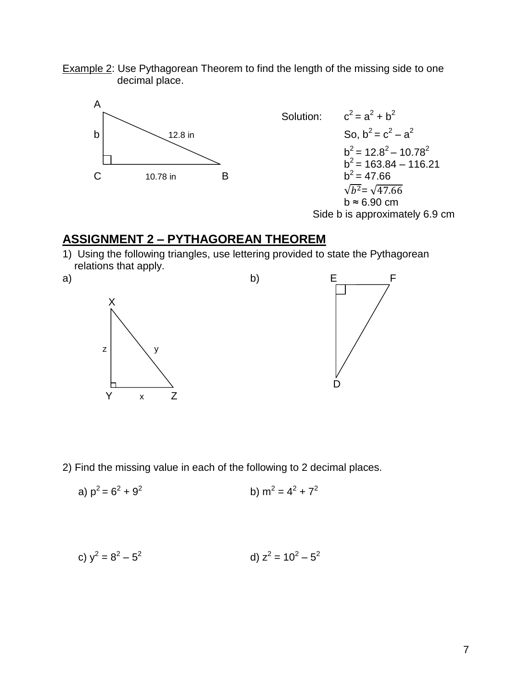Example 2: Use Pythagorean Theorem to find the length of the missing side to one decimal place.



Side b is approximately 6.9 cm

### **ASSIGNMENT 2 – PYTHAGOREAN THEOREM**

1) Using the following triangles, use lettering provided to state the Pythagorean relations that apply.



2) Find the missing value in each of the following to 2 decimal places.

a) 
$$
p^2 = 6^2 + 9^2
$$
 b)  $m^2 = 4^2 + 7^2$ 

c) 
$$
y^2 = 8^2 - 5^2
$$
 d)  $z^2 = 10^2 - 5^2$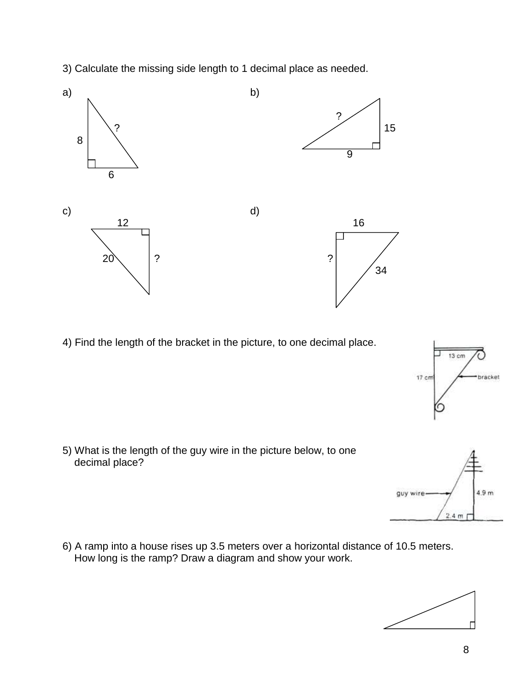3) Calculate the missing side length to 1 decimal place as needed.



4) Find the length of the bracket in the picture, to one decimal place.



5) What is the length of the guy wire in the picture below, to one decimal place?

6) A ramp into a house rises up 3.5 meters over a horizontal distance of 10.5 meters. How long is the ramp? Draw a diagram and show your work.



guy wire



 $4.9<sub>m</sub>$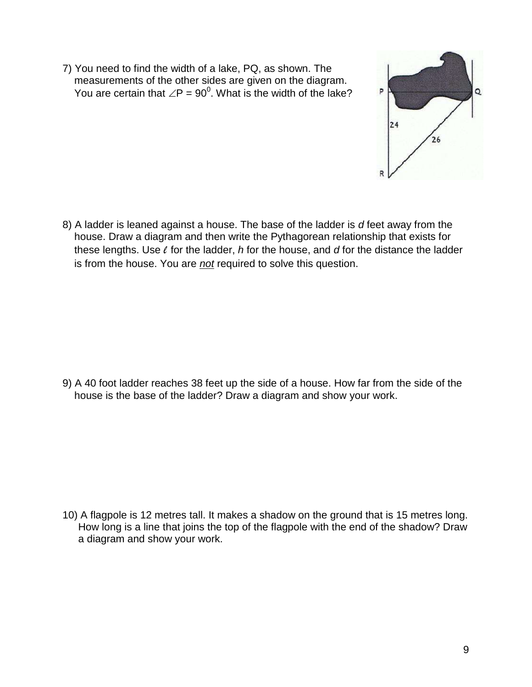7) You need to find the width of a lake, PQ, as shown. The measurements of the other sides are given on the diagram. You are certain that  $\angle P$  = 90<sup>0</sup>. What is the width of the lake?



8) A ladder is leaned against a house. The base of the ladder is *d* feet away from the house. Draw a diagram and then write the Pythagorean relationship that exists for these lengths. Use *l* for the ladder, *h* for the house, and *d* for the distance the ladder is from the house. You are *not* required to solve this question.

9) A 40 foot ladder reaches 38 feet up the side of a house. How far from the side of the house is the base of the ladder? Draw a diagram and show your work.

10) A flagpole is 12 metres tall. It makes a shadow on the ground that is 15 metres long. How long is a line that joins the top of the flagpole with the end of the shadow? Draw a diagram and show your work.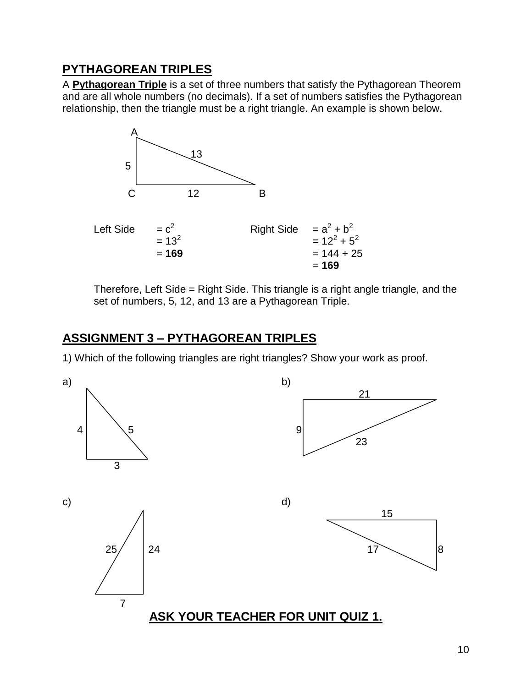### **PYTHAGOREAN TRIPLES**

A **Pythagorean Triple** is a set of three numbers that satisfy the Pythagorean Theorem and are all whole numbers (no decimals). If a set of numbers satisfies the Pythagorean relationship, then the triangle must be a right triangle. An example is shown below.



Therefore, Left Side = Right Side. This triangle is a right angle triangle, and the set of numbers, 5, 12, and 13 are a Pythagorean Triple.

## **ASSIGNMENT 3 – PYTHAGOREAN TRIPLES**

1) Which of the following triangles are right triangles? Show your work as proof.

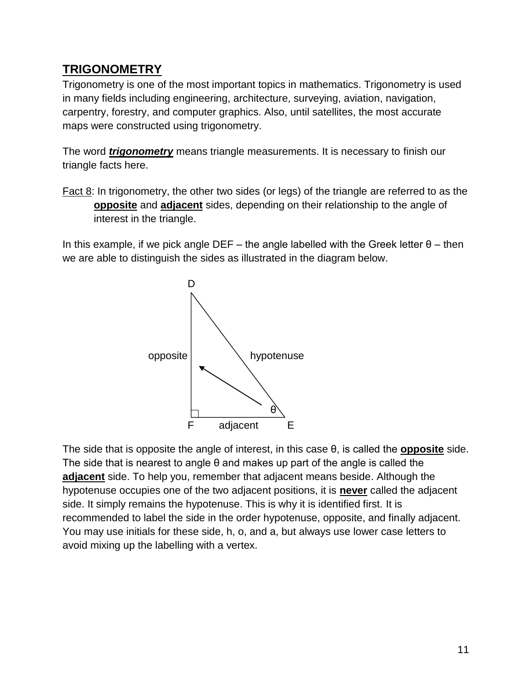## **TRIGONOMETRY**

Trigonometry is one of the most important topics in mathematics. Trigonometry is used in many fields including engineering, architecture, surveying, aviation, navigation, carpentry, forestry, and computer graphics. Also, until satellites, the most accurate maps were constructed using trigonometry.

The word *trigonometry* means triangle measurements. It is necessary to finish our triangle facts here.

Fact 8: In trigonometry, the other two sides (or legs) of the triangle are referred to as the **opposite** and **adjacent** sides, depending on their relationship to the angle of interest in the triangle.

In this example, if we pick angle DEF – the angle labelled with the Greek letter  $θ$  – then we are able to distinguish the sides as illustrated in the diagram below.



The side that is opposite the angle of interest, in this case θ, is called the **opposite** side. The side that is nearest to angle θ and makes up part of the angle is called the **adjacent** side. To help you, remember that adjacent means beside. Although the hypotenuse occupies one of the two adjacent positions, it is **never** called the adjacent side. It simply remains the hypotenuse. This is why it is identified first. It is recommended to label the side in the order hypotenuse, opposite, and finally adjacent. You may use initials for these side, h, o, and a, but always use lower case letters to avoid mixing up the labelling with a vertex.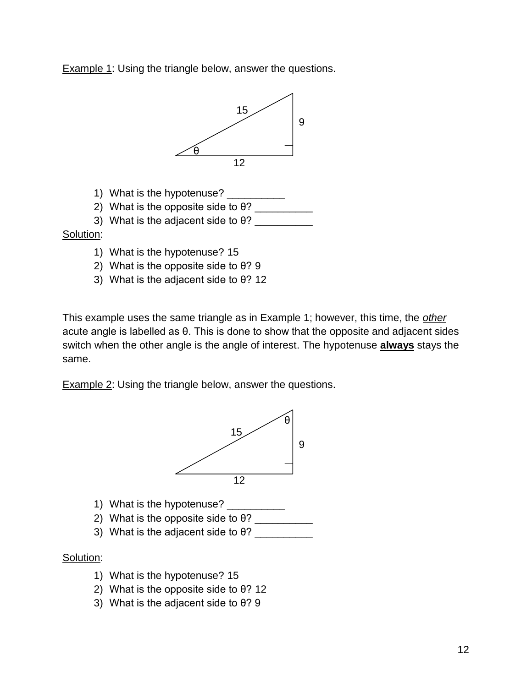**Example 1: Using the triangle below, answer the questions.** 



- 1) What is the hypotenuse?
- 2) What is the opposite side to  $\theta$ ?
- 3) What is the adjacent side to  $\theta$ ?

#### Solution:

- 1) What is the hypotenuse? 15
- 2) What is the opposite side to θ? 9
- 3) What is the adjacent side to θ? 12

This example uses the same triangle as in Example 1; however, this time, the *other* acute angle is labelled as θ. This is done to show that the opposite and adjacent sides switch when the other angle is the angle of interest. The hypotenuse **always** stays the same.

**Example 2: Using the triangle below, answer the questions.** 



- 1) What is the hypotenuse? \_\_\_\_\_\_\_\_\_\_
- 2) What is the opposite side to  $\theta$ ?
- 3) What is the adjacent side to  $\theta$ ?

#### Solution:

- 1) What is the hypotenuse? 15
- 2) What is the opposite side to θ? 12
- 3) What is the adjacent side to θ? 9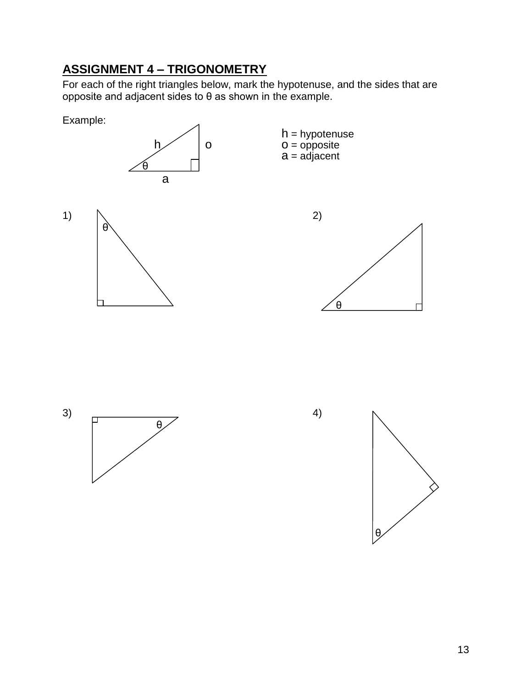# **ASSIGNMENT 4 – TRIGONOMETRY**

For each of the right triangles below, mark the hypotenuse, and the sides that are opposite and adjacent sides to θ as shown in the example.







13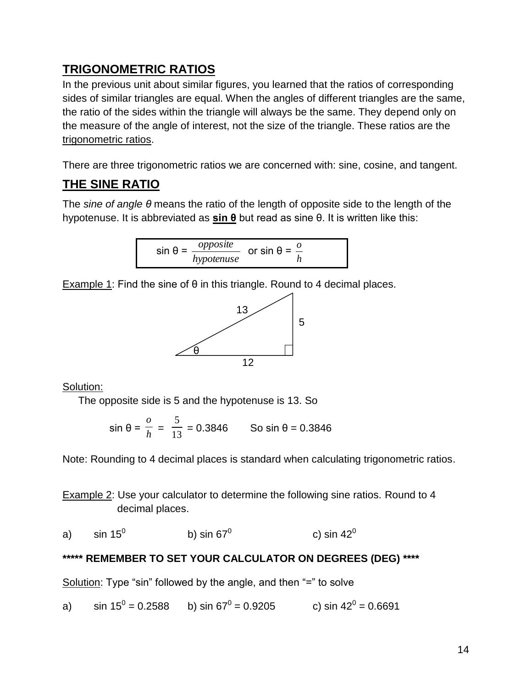## **TRIGONOMETRIC RATIOS**

In the previous unit about similar figures, you learned that the ratios of corresponding sides of similar triangles are equal. When the angles of different triangles are the same, the ratio of the sides within the triangle will always be the same. They depend only on the measure of the angle of interest, not the size of the triangle. These ratios are the trigonometric ratios.

There are three trigonometric ratios we are concerned with: sine, cosine, and tangent.

# **THE SINE RATIO**

The *sine of angle θ* means the ratio of the length of opposite side to the length of the hypotenuse. It is abbreviated as **sin θ** but read as sine θ. It is written like this:

$$
\sin \theta = \frac{opposite}{hypotenuse} \quad \text{or} \quad \sin \theta = \frac{0}{h}
$$

Example 1: Find the sine of  $\theta$  in this triangle. Round to 4 decimal places.



Solution:

The opposite side is 5 and the hypotenuse is 13. So

sin θ = *h o*  $=$   $\frac{1}{13}$ 5  $= 0.3846$  So sin θ = 0.3846

Note: Rounding to 4 decimal places is standard when calculating trigonometric ratios.

Example 2: Use your calculator to determine the following sine ratios. Round to 4 decimal places.

a)  $\;$  sin 15 $^{\rm 0}$   $\;$  b) sin 67 $^{\rm 0}$ c) sin  $42^0$ 

## **\*\*\*\*\* REMEMBER TO SET YOUR CALCULATOR ON DEGREES (DEG) \*\*\*\***

Solution: Type "sin" followed by the angle, and then "=" to solve

a) sin 15 $^0$  = 0.2588 b) sin 67 $^0$  = 0.9205 c) sin 42 $^0$  = 0.6691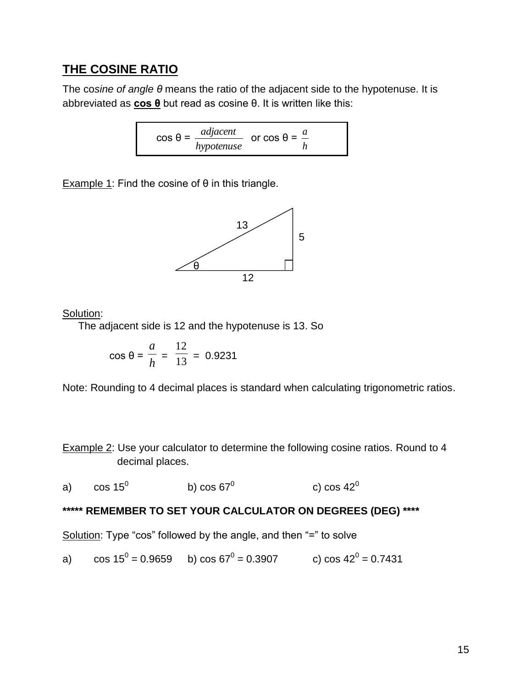### **THE COSINE RATIO**

The co*sine of angle θ* means the ratio of the adjacent side to the hypotenuse. It is abbreviated as **cos θ** but read as cosine θ. It is written like this:

$$
\cos \theta = \frac{adjacent}{hypotenuse} \quad \text{or } \cos \theta = \frac{a}{h}
$$

Example 1: Find the cosine of  $\theta$  in this triangle.



Solution:

The adjacent side is 12 and the hypotenuse is 13. So

$$
\cos \theta = \frac{a}{h} = \frac{12}{13} = 0.9231
$$

Note: Rounding to 4 decimal places is standard when calculating trigonometric ratios.

Example 2: Use your calculator to determine the following cosine ratios. Round to 4 decimal places.

a)  $\cos 15^\circ$ b)  $\cos 67^\circ$ c)  $\cos 42^\circ$ 

#### **\*\*\*\*\* REMEMBER TO SET YOUR CALCULATOR ON DEGREES (DEG) \*\*\*\***

Solution: Type "cos" followed by the angle, and then "=" to solve

a) 
$$
\cos 15^\circ = 0.9659
$$
 b)  $\cos 67^\circ = 0.3907$  c)  $\cos 42^\circ = 0.7431$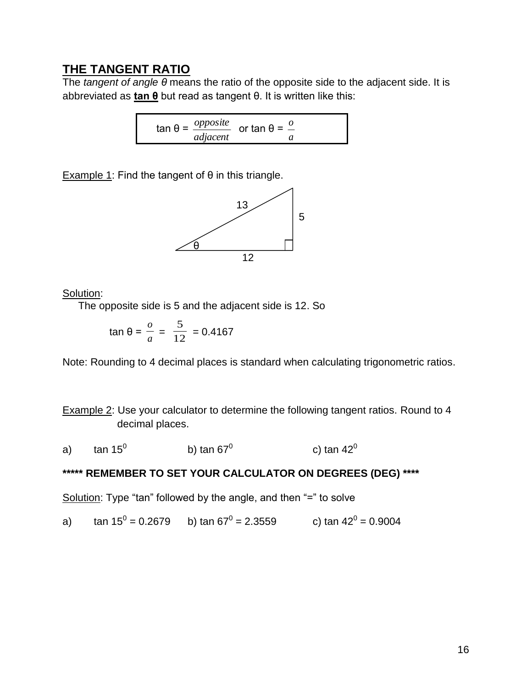### **THE TANGENT RATIO**

The *tangent of angle θ* means the ratio of the opposite side to the adjacent side. It is abbreviated as **tan θ** but read as tangent θ. It is written like this:

> tan θ = *opposite adjacent* or tan θ = *o a*

Example 1: Find the tangent of  $θ$  in this triangle.



Solution:

The opposite side is 5 and the adjacent side is 12. So

$$
\tan \theta = \frac{o}{a} = \frac{5}{12} = 0.4167
$$

Note: Rounding to 4 decimal places is standard when calculating trigonometric ratios.

Example 2: Use your calculator to determine the following tangent ratios. Round to 4 decimal places.

a)  $\tan 15^\circ$ b) tan  $67^\circ$ c) tan  $42^0$ 

### **\*\*\*\*\* REMEMBER TO SET YOUR CALCULATOR ON DEGREES (DEG) \*\*\*\***

Solution: Type "tan" followed by the angle, and then "=" to solve

a) tan 15 $^0$  = 0.2679 b) tan 67 $^0$  = 2.3559 c) tan 42 $^0$  = 0.9004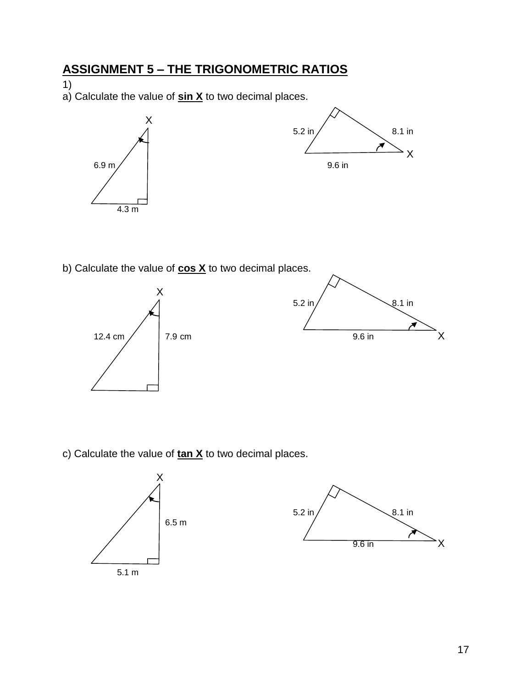# **ASSIGNMENT 5 – THE TRIGONOMETRIC RATIOS**

1)

a) Calculate the value of **sin X** to two decimal places.



b) Calculate the value of **cos X** to two decimal places.



c) Calculate the value of **tan X** to two decimal places.



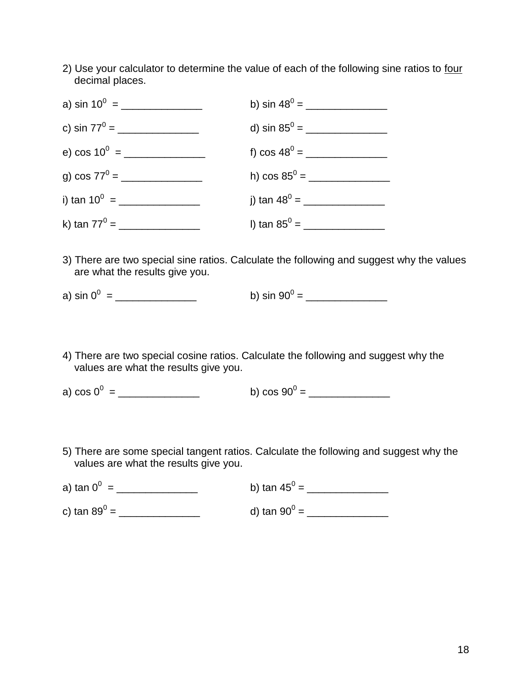2) Use your calculator to determine the value of each of the following sine ratios to four decimal places.



- 3) There are two special sine ratios. Calculate the following and suggest why the values are what the results give you.
- a) sin 0<sup>0</sup> = \_\_\_\_\_\_\_\_\_\_\_\_\_\_ b) sin 90<sup>0</sup> = \_\_\_\_\_\_\_\_\_\_\_\_\_\_
- 4) There are two special cosine ratios. Calculate the following and suggest why the values are what the results give you.

a) cos 0<sup>0</sup> = \_\_\_\_\_\_\_\_\_\_\_\_\_\_ b) cos 90<sup>0</sup> = \_\_\_\_\_\_\_\_\_\_\_\_\_\_

5) There are some special tangent ratios. Calculate the following and suggest why the values are what the results give you.

| a) tan $0^0$ =           | b) tan 45 <sup>0</sup> = |
|--------------------------|--------------------------|
| c) tan 89 <sup>0</sup> = | d) tan 90 $^{\circ}$ =   |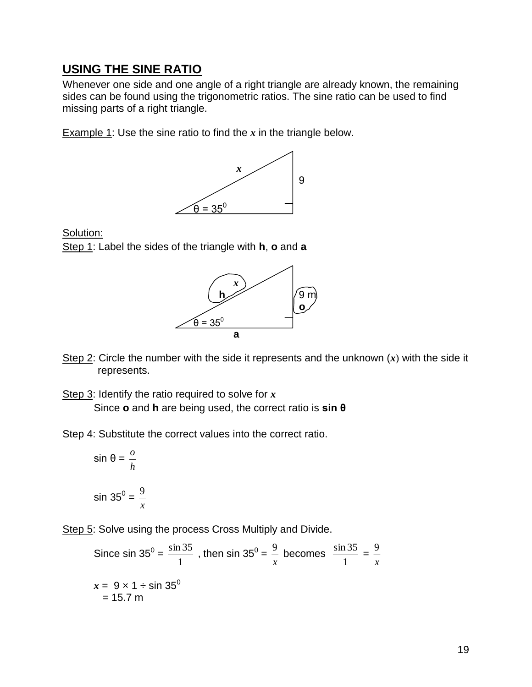### **USING THE SINE RATIO**

Whenever one side and one angle of a right triangle are already known, the remaining sides can be found using the trigonometric ratios. The sine ratio can be used to find missing parts of a right triangle.

Example 1: Use the sine ratio to find the *x* in the triangle below.



Solution:

Step 1: Label the sides of the triangle with **h**, **o** and **a**



Step 2: Circle the number with the side it represents and the unknown (*x*) with the side it represents.

Step 3: Identify the ratio required to solve for *x* Since **o** and **h** are being used, the correct ratio is **sin θ**

Step 4: Substitute the correct values into the correct ratio.

$$
\sin \theta = \frac{0}{h}
$$

$$
\sin 35^0 = \frac{9}{x}
$$

Step 5: Solve using the process Cross Multiply and Divide.

Since 
$$
\sin 35^\circ = \frac{\sin 35}{1}
$$
, then  $\sin 35^\circ = \frac{9}{x}$  becomes  $\frac{\sin 35}{1} = \frac{9}{x}$   
 $x = 9 \times 1 \div \sin 35^\circ$   
= 15.7 m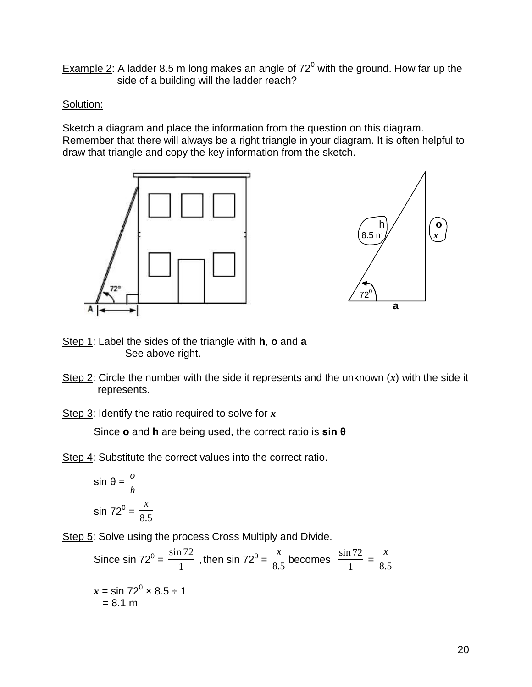Example 2: A ladder 8.5 m long makes an angle of  $72^0$  with the ground. How far up the side of a building will the ladder reach?

#### Solution:

Sketch a diagram and place the information from the question on this diagram. Remember that there will always be a right triangle in your diagram. It is often helpful to draw that triangle and copy the key information from the sketch.





- Step 1: Label the sides of the triangle with **h**, **o** and **a** See above right.
- Step 2: Circle the number with the side it represents and the unknown (*x*) with the side it represents.

Step 3: Identify the ratio required to solve for *x*

Since **o** and **h** are being used, the correct ratio is **sin θ**

Step 4: Substitute the correct values into the correct ratio.

$$
\sin \theta = \frac{0}{h}
$$

$$
\sin 72^0 = \frac{x}{8.5}
$$

Step 5: Solve using the process Cross Multiply and Divide.

Since sin 72<sup>0</sup> =  $\frac{\sinh 1}{1}$  $\frac{\sin 72}{1}$  , then sin 72<sup>0</sup> =  $\frac{x}{8.5}$ *x* becomes  $\frac{341}{1}$ sin 72  $=$   $\frac{1}{8.5}$ *x*  $x = \sin 72^0 \times 8.5 \div 1$  $= 8.1 m$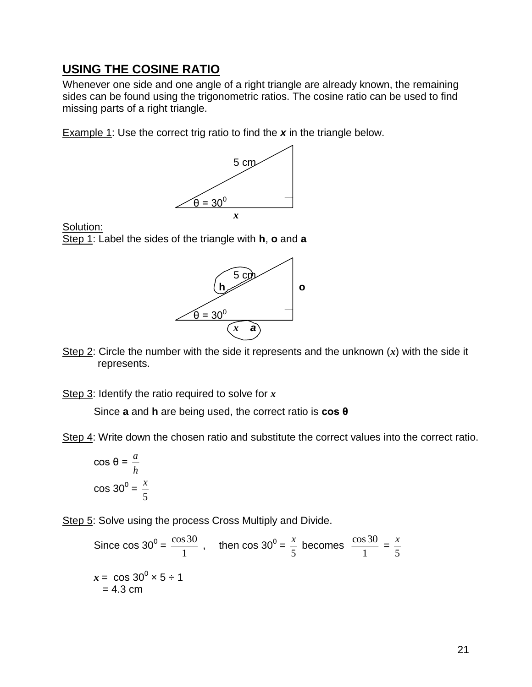### **USING THE COSINE RATIO**

Whenever one side and one angle of a right triangle are already known, the remaining sides can be found using the trigonometric ratios. The cosine ratio can be used to find missing parts of a right triangle.

Example 1: Use the correct trig ratio to find the *x* in the triangle below.



Solution: Step 1: Label the sides of the triangle with **h**, **o** and **a**



Step 2: Circle the number with the side it represents and the unknown (*x*) with the side it represents.

Step 3: Identify the ratio required to solve for *x*

Since **a** and **h** are being used, the correct ratio is **cos θ**

Step 4: Write down the chosen ratio and substitute the correct values into the correct ratio.

cos θ = *h a*  $\cos 30^0 =$ 5 *x*

Step 5: Solve using the process Cross Multiply and Divide.

Since  $\cos 30^\circ =$ 1  $\frac{\cos 30}{1}$ , then cos 30<sup>0</sup> = 5  $\frac{x}{x}$  becomes 1  $\frac{\cos 30}{1}$  = 5 *x*  $x = \cos 30^{\circ} \times 5 \div 1$  $= 4.3$  cm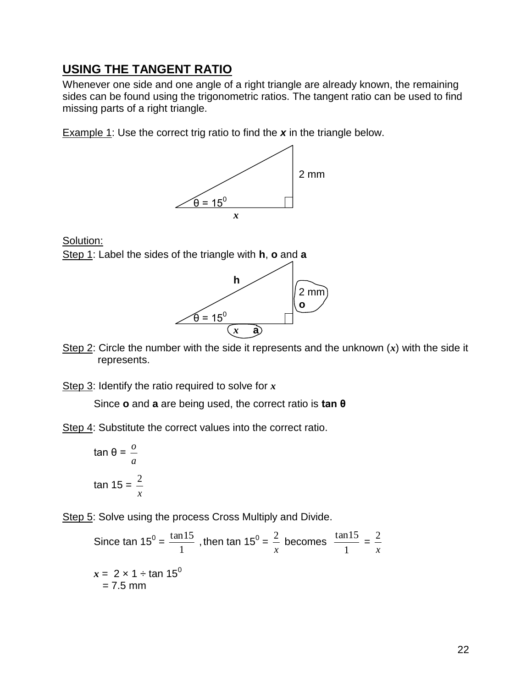### **USING THE TANGENT RATIO**

Whenever one side and one angle of a right triangle are already known, the remaining sides can be found using the trigonometric ratios. The tangent ratio can be used to find missing parts of a right triangle.

Example 1: Use the correct trig ratio to find the *x* in the triangle below.



Solution:

Step 1: Label the sides of the triangle with **h**, **o** and **a**



Step 2: Circle the number with the side it represents and the unknown (*x*) with the side it represents.

Step 3: Identify the ratio required to solve for *x*

Since **o** and **a** are being used, the correct ratio is **tan θ**

Step 4: Substitute the correct values into the correct ratio.

$$
\tan \theta = \frac{0}{a}
$$
  

$$
\tan 15 = \frac{2}{x}
$$

Step 5: Solve using the process Cross Multiply and Divide.

Since tan  $15^0$  = 1  $\frac{\tan 15}{\tan 15}$ , then tan 15<sup>0</sup> = *x*  $2$  becomes 1  $\frac{\tan 15}{\sin 15}$  = *x* 2  $x = 2 \times 1 \div \tan 15^\circ$  $= 7.5$  mm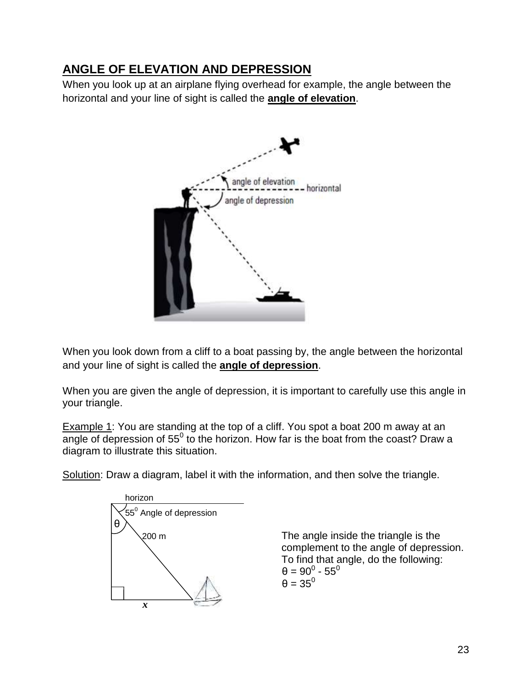## **ANGLE OF ELEVATION AND DEPRESSION**

When you look up at an airplane flying overhead for example, the angle between the horizontal and your line of sight is called the **angle of elevation**.



When you look down from a cliff to a boat passing by, the angle between the horizontal and your line of sight is called the **angle of depression**.

When you are given the angle of depression, it is important to carefully use this angle in your triangle.

Example 1: You are standing at the top of a cliff. You spot a boat 200 m away at an angle of depression of 55<sup>0</sup> to the horizon. How far is the boat from the coast? Draw a diagram to illustrate this situation.

Solution: Draw a diagram, label it with the information, and then solve the triangle.



200 m The angle inside the triangle is the complement to the angle of depression. To find that angle, do the following:  $\theta = 90^0$  -  $55^0$  $\theta = 35^0$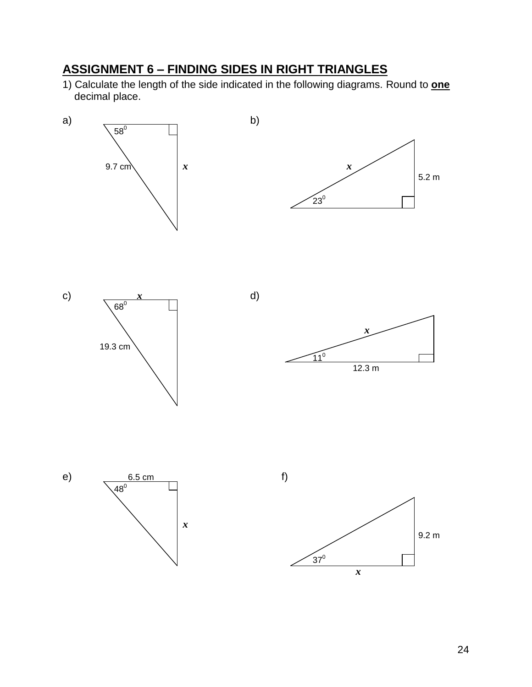# **ASSIGNMENT 6 – FINDING SIDES IN RIGHT TRIANGLES**

1) Calculate the length of the side indicated in the following diagrams. Round to **one** decimal place.

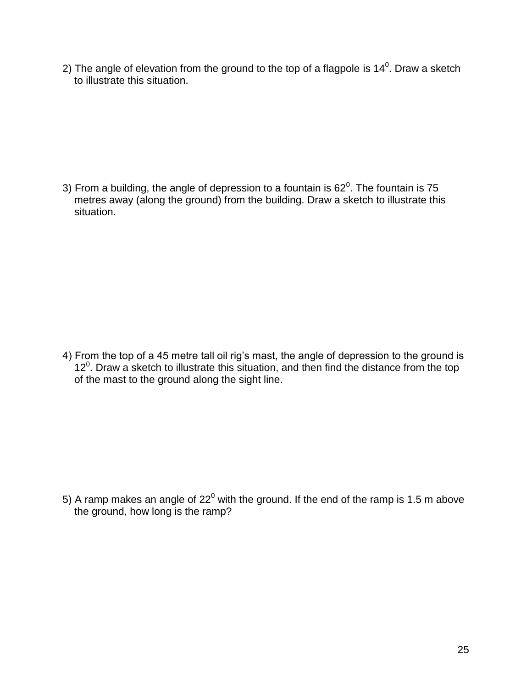2) The angle of elevation from the ground to the top of a flagpole is 14<sup>0</sup>. Draw a sketch to illustrate this situation.

3) From a building, the angle of depression to a fountain is 62<sup>0</sup>. The fountain is 75 metres away (along the ground) from the building. Draw a sketch to illustrate this situation.

4) From the top of a 45 metre tall oil rig's mast, the angle of depression to the ground is  $12<sup>0</sup>$ . Draw a sketch to illustrate this situation, and then find the distance from the top of the mast to the ground along the sight line.

5) A ramp makes an angle of  $22^0$  with the ground. If the end of the ramp is 1.5 m above the ground, how long is the ramp?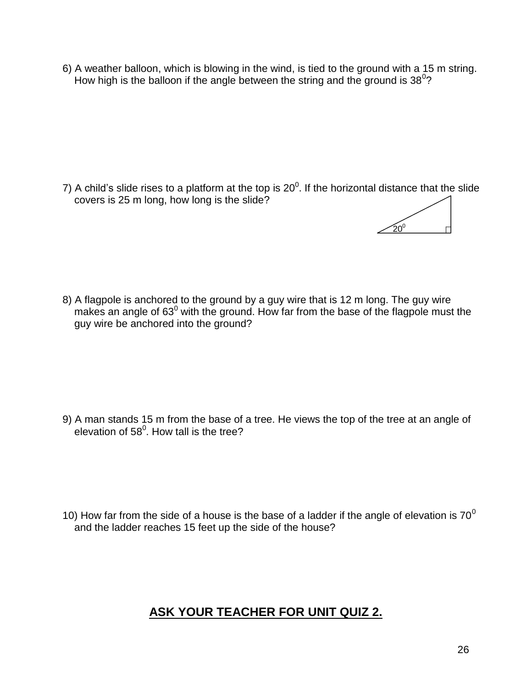6) A weather balloon, which is blowing in the wind, is tied to the ground with a 15 m string. How high is the balloon if the angle between the string and the ground is  $38^0$ ?

7) A child's slide rises to a platform at the top is 20<sup>0</sup>. If the horizontal distance that the slide covers is 25 m long, how long is the slide?



8) A flagpole is anchored to the ground by a guy wire that is 12 m long. The guy wire makes an angle of  $63^0$  with the ground. How far from the base of the flagpole must the guy wire be anchored into the ground?

9) A man stands 15 m from the base of a tree. He views the top of the tree at an angle of elevation of 58 $^0$ . How tall is the tree?

10) How far from the side of a house is the base of a ladder if the angle of elevation is  $70^0$ and the ladder reaches 15 feet up the side of the house?

## **ASK YOUR TEACHER FOR UNIT QUIZ 2.**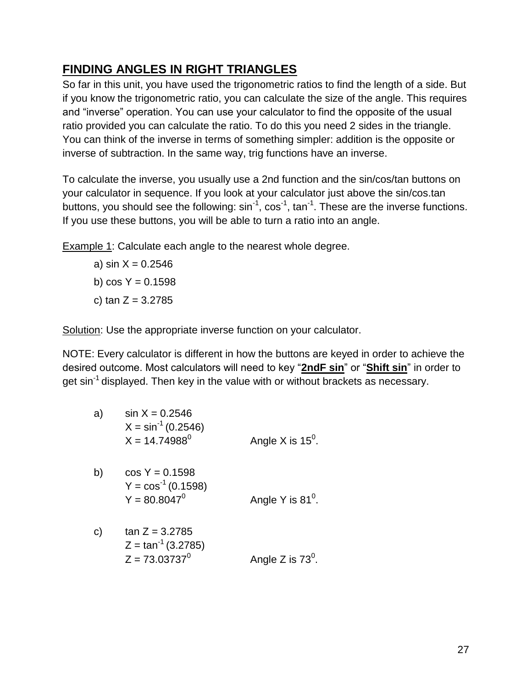## **FINDING ANGLES IN RIGHT TRIANGLES**

So far in this unit, you have used the trigonometric ratios to find the length of a side. But if you know the trigonometric ratio, you can calculate the size of the angle. This requires and "inverse" operation. You can use your calculator to find the opposite of the usual ratio provided you can calculate the ratio. To do this you need 2 sides in the triangle. You can think of the inverse in terms of something simpler: addition is the opposite or inverse of subtraction. In the same way, trig functions have an inverse.

To calculate the inverse, you usually use a 2nd function and the sin/cos/tan buttons on your calculator in sequence. If you look at your calculator just above the sin/cos.tan buttons, you should see the following:  $sin^{-1}$ ,  $cos^{-1}$ ,  $tan^{-1}$ . These are the inverse functions. If you use these buttons, you will be able to turn a ratio into an angle.

**Example 1:** Calculate each angle to the nearest whole degree.

a) sin  $X = 0.2546$ b)  $cos Y = 0.1598$ c) tan  $Z = 3.2785$ 

Solution: Use the appropriate inverse function on your calculator.

NOTE: Every calculator is different in how the buttons are keyed in order to achieve the desired outcome. Most calculators will need to key "**2ndF sin**" or "**Shift sin**" in order to get  $\sin^{-1}$  displayed. Then key in the value with or without brackets as necessary.

| a) | $\sin X = 0.2546$<br>$X = \sin^{-1}(0.2546)$<br>$X = 14.74988^{\circ}$ | Angle X is $15^{\circ}$ . |
|----|------------------------------------------------------------------------|---------------------------|
| b) | $\cos Y = 0.1598$<br>$Y = cos^{-1}(0.1598)$<br>$Y = 80.8047^0$         | Angle Y is $81^\circ$ .   |
| C) | $tan Z = 3.2785$<br>$Z = \tan^{-1}(3.2785)$<br>$Z = 73.03737^0$        | Angle Z is $73^{\circ}$ . |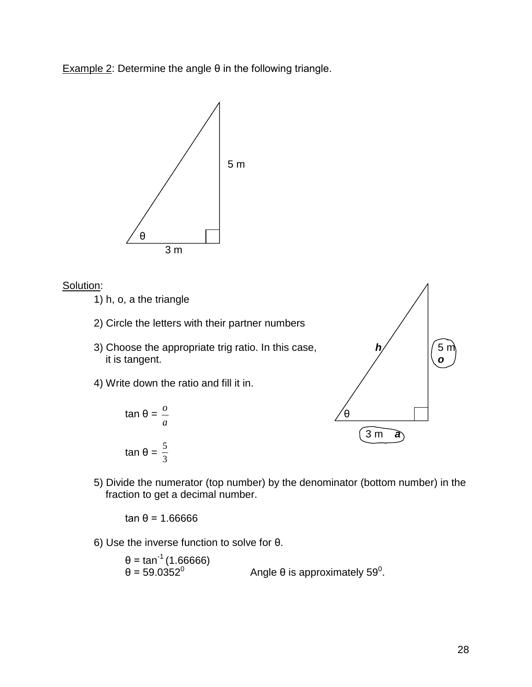Example 2: Determine the angle  $θ$  in the following triangle.



#### Solution:

1) h, o, a the triangle

- 2) Circle the letters with their partner numbers
- 3) Choose the appropriate trig ratio. In this case,  $h/$   $|/5$  m it is tangent. *o*
- 4) Write down the ratio and fill it in.





5) Divide the numerator (top number) by the denominator (bottom number) in the fraction to get a decimal number.

tan θ = 1.66666

6) Use the inverse function to solve for θ.

θ = tan<sup>-1</sup> (1.66666) θ = 59.0352<sup>0</sup> Angle θ is approximately 59<sup>0</sup>.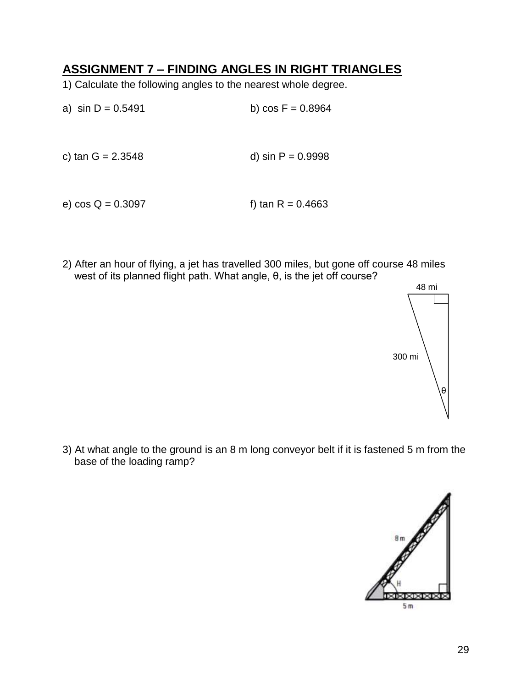### **ASSIGNMENT 7 – FINDING ANGLES IN RIGHT TRIANGLES**

- 1) Calculate the following angles to the nearest whole degree.
- a)  $\sin D = 0.5491$  b)  $\cos F = 0.8964$ c) tan  $G = 2.3548$  d) sin  $P = 0.9998$
- e)  $\cos Q = 0.3097$  f) tan R = 0.4663
- 2) After an hour of flying, a jet has travelled 300 miles, but gone off course 48 miles west of its planned flight path. What angle, θ, is the jet off course?



3) At what angle to the ground is an 8 m long conveyor belt if it is fastened 5 m from the base of the loading ramp?

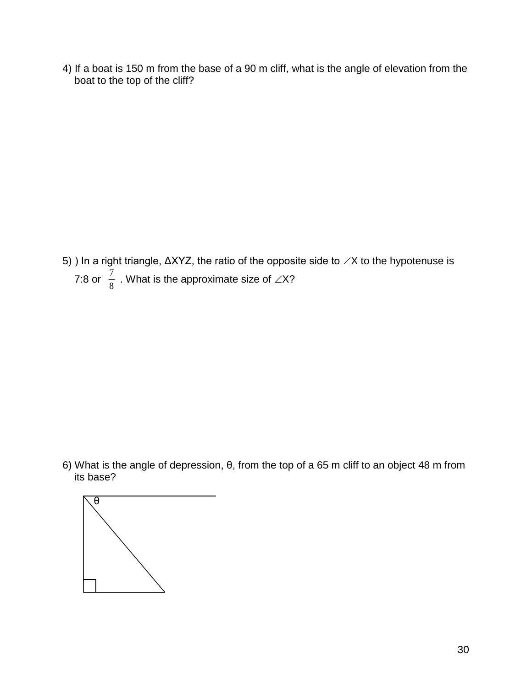4) If a boat is 150 m from the base of a 90 m cliff, what is the angle of elevation from the boat to the top of the cliff?

5) ) In a right triangle,  $ΔXYZ$ , the ratio of the opposite side to  $∠X$  to the hypotenuse is 7:8 or  $\frac{7}{8}$  $\frac{7}{8}$  . What is the approximate size of  $\angle$ X?

6) What is the angle of depression, θ, from the top of a 65 m cliff to an object 48 m from its base?